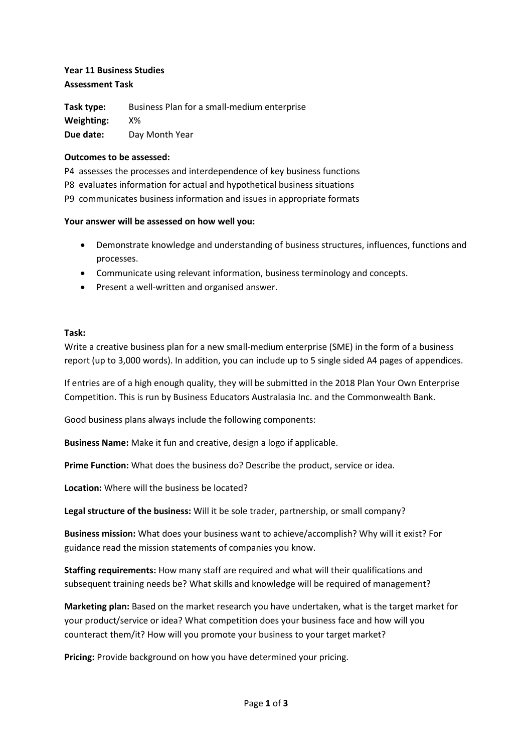# **Year 11 Business Studies Assessment Task**

**Task type:** Business Plan for a small-medium enterprise **Weighting:** X% **Due date:** Day Month Year

### **Outcomes to be assessed:**

P4 assesses the processes and interdependence of key business functions P8 evaluates information for actual and hypothetical business situations P9 communicates business information and issues in appropriate formats

#### **Your answer will be assessed on how well you:**

- Demonstrate knowledge and understanding of business structures, influences, functions and processes.
- Communicate using relevant information, business terminology and concepts.
- Present a well-written and organised answer.

#### **Task:**

Write a creative business plan for a new small-medium enterprise (SME) in the form of a business report (up to 3,000 words). In addition, you can include up to 5 single sided A4 pages of appendices.

If entries are of a high enough quality, they will be submitted in the 2018 Plan Your Own Enterprise Competition. This is run by Business Educators Australasia Inc. and the Commonwealth Bank.

Good business plans always include the following components:

**Business Name:** Make it fun and creative, design a logo if applicable.

**Prime Function:** What does the business do? Describe the product, service or idea.

**Location:** Where will the business be located?

**Legal structure of the business:** Will it be sole trader, partnership, or small company?

**Business mission:** What does your business want to achieve/accomplish? Why will it exist? For guidance read the mission statements of companies you know.

**Staffing requirements:** How many staff are required and what will their qualifications and subsequent training needs be? What skills and knowledge will be required of management?

**Marketing plan:** Based on the market research you have undertaken, what is the target market for your product/service or idea? What competition does your business face and how will you counteract them/it? How will you promote your business to your target market?

**Pricing:** Provide background on how you have determined your pricing.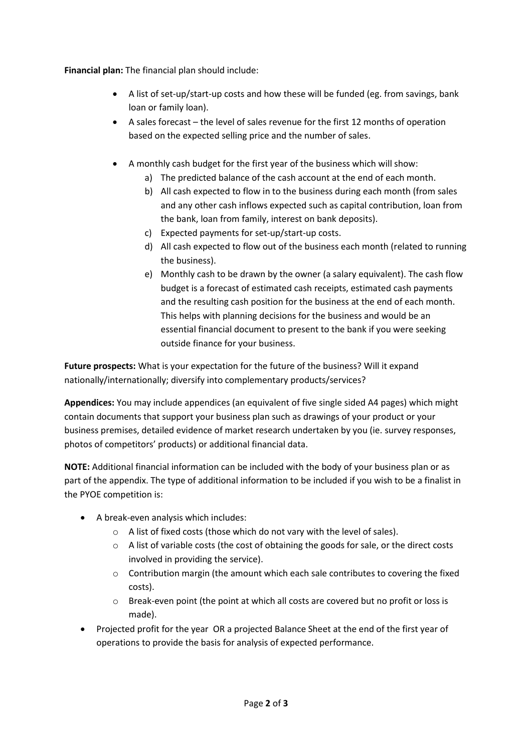**Financial plan:** The financial plan should include:

- A list of set-up/start-up costs and how these will be funded (eg. from savings, bank loan or family loan).
- A sales forecast the level of sales revenue for the first 12 months of operation based on the expected selling price and the number of sales.
- A monthly cash budget for the first year of the business which will show:
	- a) The predicted balance of the cash account at the end of each month.
	- b) All cash expected to flow in to the business during each month (from sales and any other cash inflows expected such as capital contribution, loan from the bank, loan from family, interest on bank deposits).
	- c) Expected payments for set-up/start-up costs.
	- d) All cash expected to flow out of the business each month (related to running the business).
	- e) Monthly cash to be drawn by the owner (a salary equivalent). The cash flow budget is a forecast of estimated cash receipts, estimated cash payments and the resulting cash position for the business at the end of each month. This helps with planning decisions for the business and would be an essential financial document to present to the bank if you were seeking outside finance for your business.

**Future prospects:** What is your expectation for the future of the business? Will it expand nationally/internationally; diversify into complementary products/services?

**Appendices:** You may include appendices (an equivalent of five single sided A4 pages) which might contain documents that support your business plan such as drawings of your product or your business premises, detailed evidence of market research undertaken by you (ie. survey responses, photos of competitors' products) or additional financial data.

**NOTE:** Additional financial information can be included with the body of your business plan or as part of the appendix. The type of additional information to be included if you wish to be a finalist in the PYOE competition is:

- A break-even analysis which includes:
	- o A list of fixed costs (those which do not vary with the level of sales).
	- o A list of variable costs (the cost of obtaining the goods for sale, or the direct costs involved in providing the service).
	- $\circ$  Contribution margin (the amount which each sale contributes to covering the fixed costs).
	- o Break-even point (the point at which all costs are covered but no profit or loss is made).
- Projected profit for the year OR a projected Balance Sheet at the end of the first year of operations to provide the basis for analysis of expected performance.